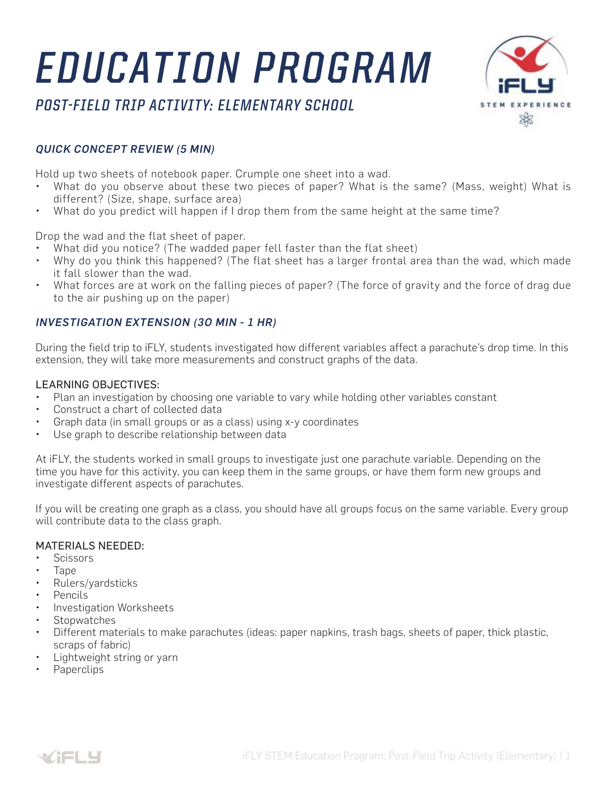# *EDUCATION PROGRAM*





#### *QUICK CONCEPT REVIEW (5 MIN)*

Hold up two sheets of notebook paper. Crumple one sheet into a wad.

- What do you observe about these two pieces of paper? What is the same? (Mass, weight) What is different? (Size, shape, surface area)
- What do you predict will happen if I drop them from the same height at the same time?

Drop the wad and the flat sheet of paper.

- What did you notice? (The wadded paper fell faster than the flat sheet)
- Why do you think this happened? (The flat sheet has a larger frontal area than the wad, which made it fall slower than the wad.
- What forces are at work on the falling pieces of paper? (The force of gravity and the force of drag due to the air pushing up on the paper)

#### *INVESTIGATION EXTENSION (3O MIN - 1 HR)*

During the field trip to iFLY, students investigated how different variables affect a parachute's drop time. In this extension, they will take more measurements and construct graphs of the data.

#### LEARNING OBJECTIVES:

- Plan an investigation by choosing one variable to vary while holding other variables constant
- Construct a chart of collected data
- Graph data (in small groups or as a class) using x-y coordinates
- Use graph to describe relationship between data

At iFLY, the students worked in small groups to investigate just one parachute variable. Depending on the time you have for this activity, you can keep them in the same groups, or have them form new groups and investigate different aspects of parachutes.

If you will be creating one graph as a class, you should have all groups focus on the same variable. Every group will contribute data to the class graph.

#### MATERIALS NEEDED:

- Scissors
- Tape
- Rulers/yardsticks
- Pencils
- Investigation Worksheets
- **Stopwatches**
- Different materials to make parachutes (ideas: paper napkins, trash bags, sheets of paper, thick plastic, scraps of fabric)
- Lightweight string or yarn
- Paperclips

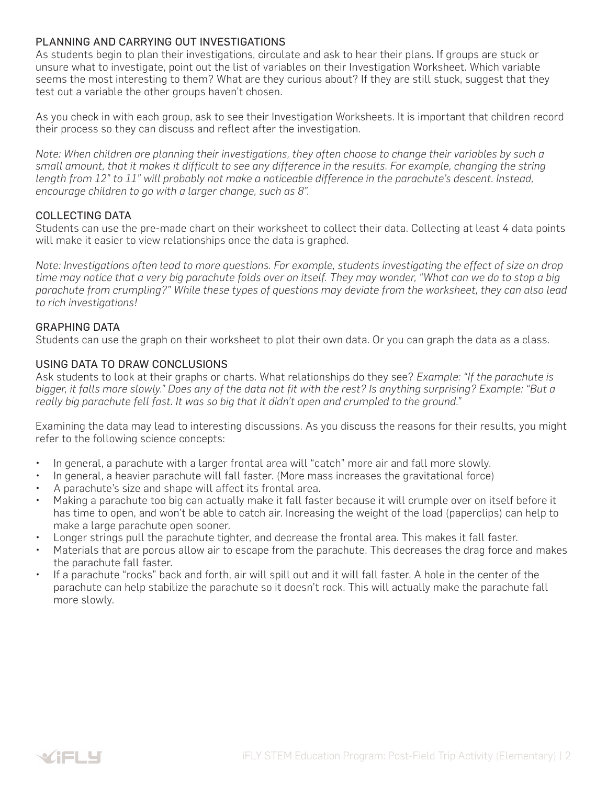#### PLANNING AND CARRYING OUT INVESTIGATIONS

As students begin to plan their investigations, circulate and ask to hear their plans. If groups are stuck or unsure what to investigate, point out the list of variables on their Investigation Worksheet. Which variable seems the most interesting to them? What are they curious about? If they are still stuck, suggest that they test out a variable the other groups haven't chosen.

As you check in with each group, ask to see their Investigation Worksheets. It is important that children record their process so they can discuss and reflect after the investigation.

*Note: When children are planning their investigations, they often choose to change their variables by such a small amount, that it makes it difficult to see any difference in the results. For example, changing the string length from 12" to 11" will probably not make a noticeable difference in the parachute's descent. Instead, encourage children to go with a larger change, such as 8".*

#### COLLECTING DATA

Students can use the pre-made chart on their worksheet to collect their data. Collecting at least 4 data points will make it easier to view relationships once the data is graphed.

*Note: Investigations often lead to more questions. For example, students investigating the effect of size on drop*  time may notice that a very big parachute folds over on itself. They may wonder, "What can we do to stop a big *parachute from crumpling?" While these types of questions may deviate from the worksheet, they can also lead to rich investigations!*

#### GRAPHING DATA

Students can use the graph on their worksheet to plot their own data. Or you can graph the data as a class.

#### USING DATA TO DRAW CONCLUSIONS

Ask students to look at their graphs or charts. What relationships do they see? *Example: "If the parachute is bigger, it falls more slowly." Does any of the data not fit with the rest? Is anything surprising? Example: "But a really big parachute fell fast. It was so big that it didn't open and crumpled to the ground."*

Examining the data may lead to interesting discussions. As you discuss the reasons for their results, you might refer to the following science concepts:

- In general, a parachute with a larger frontal area will "catch" more air and fall more slowly.
- In general, a heavier parachute will fall faster. (More mass increases the gravitational force)
- A parachute's size and shape will affect its frontal area.
- Making a parachute too big can actually make it fall faster because it will crumple over on itself before it has time to open, and won't be able to catch air. Increasing the weight of the load (paperclips) can help to make a large parachute open sooner.
- Longer strings pull the parachute tighter, and decrease the frontal area. This makes it fall faster.
- Materials that are porous allow air to escape from the parachute. This decreases the drag force and makes the parachute fall faster.
- If a parachute "rocks" back and forth, air will spill out and it will fall faster. A hole in the center of the parachute can help stabilize the parachute so it doesn't rock. This will actually make the parachute fall more slowly.

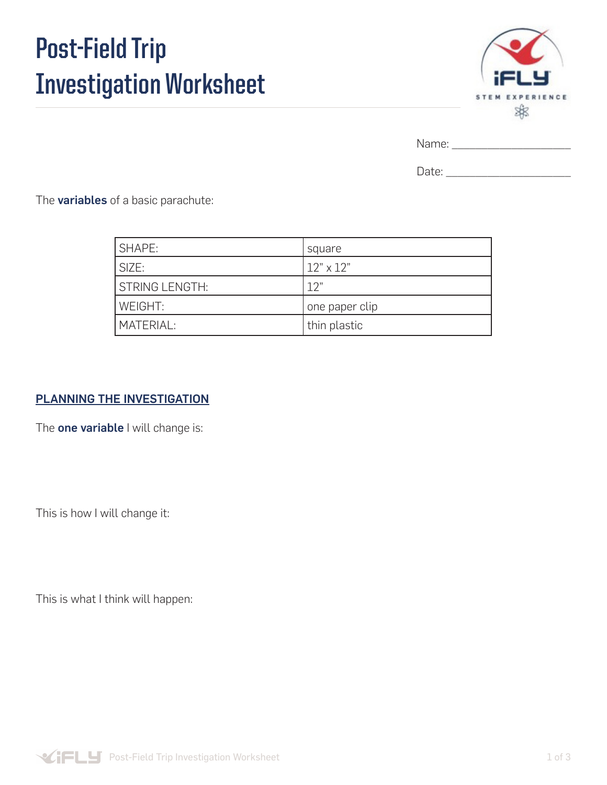# **Post-Field Trip Investigation Worksheet**



Name: \_\_\_\_\_\_\_\_\_\_\_\_\_\_\_\_\_\_\_\_

Date:  $\Box$ 

The **variables** of a basic parachute:

| <b>SHAPE:</b>    | square           |
|------------------|------------------|
| SIZE:            | $12" \times 12"$ |
| I STRING LENGTH: | 12"              |
| WEIGHT:          | one paper clip   |
| MATERIAL:        | thin plastic     |

### PLANNING THE INVESTIGATION

The one variable I will change is:

This is how I will change it:

This is what I think will happen:

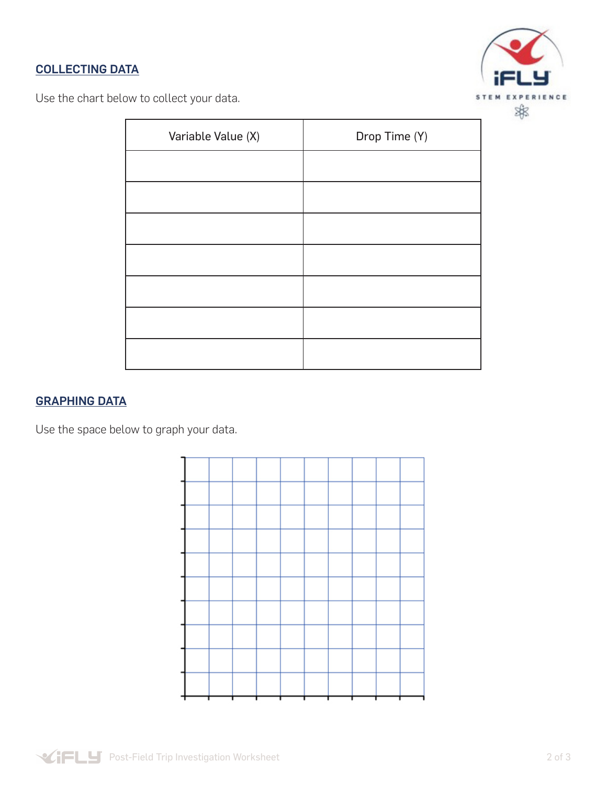# COLLECTING DATA



Use the chart below to collect your data.

| Variable Value (X) | Drop Time (Y) |
|--------------------|---------------|
|                    |               |
|                    |               |
|                    |               |
|                    |               |
|                    |               |
|                    |               |
|                    |               |

# GRAPHING DATA

Use the space below to graph your data.

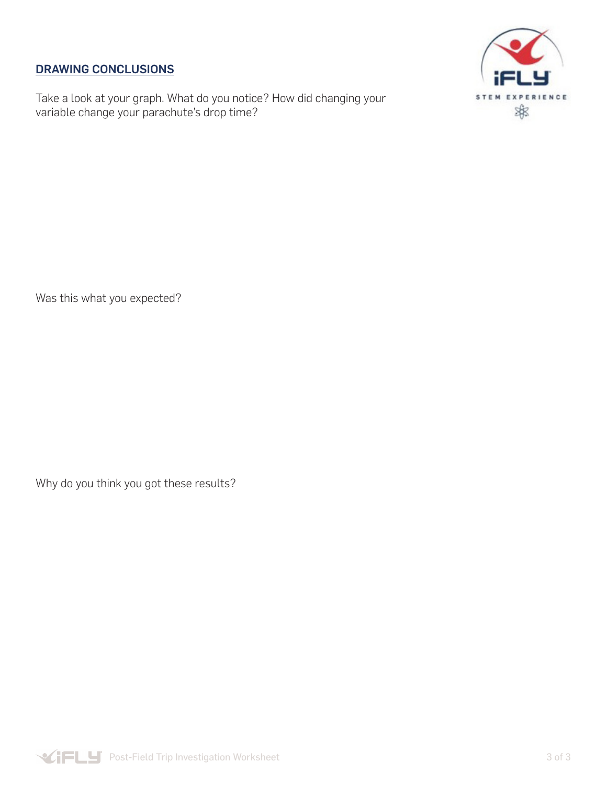## DRAWING CONCLUSIONS

Take a look at your graph. What do you notice? How did changing your variable change your parachute's drop time?



Was this what you expected?

Why do you think you got these results?

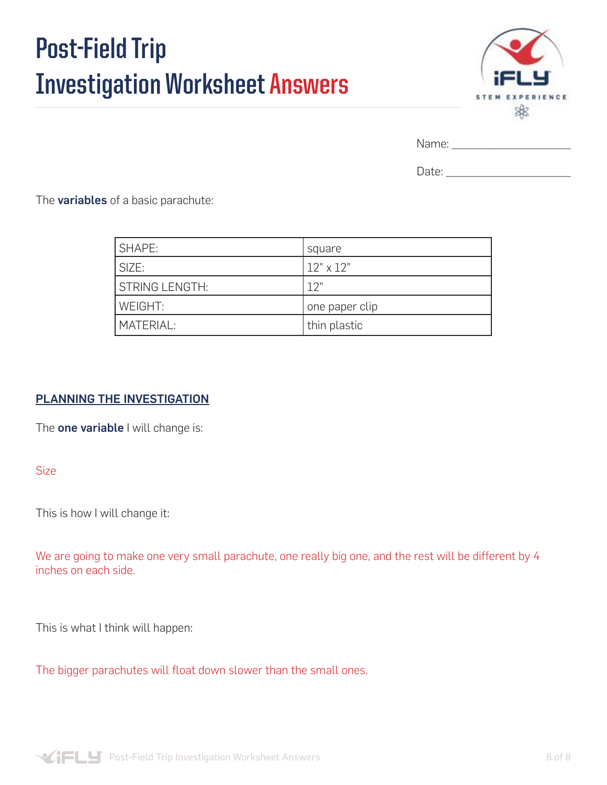# **Post-Field Trip Investigation Worksheet Answers**



Name: \_\_\_\_\_\_\_\_\_\_\_\_\_\_\_\_\_\_\_\_

Date:  $\Box$ 

The **variables** of a basic parachute:

| <b>SHAPE:</b>         | square           |
|-----------------------|------------------|
| SIZE:                 | $12" \times 12"$ |
| <b>STRING LENGTH:</b> | 12"              |
| WEIGHT:               | one paper clip   |
| MATERIAL:             | thin plastic     |

## PLANNING THE INVESTIGATION

The **one variable** I will change is:

Size

This is how I will change it:

We are going to make one very small parachute, one really big one, and the rest will be different by 4 inches on each side.

This is what I think will happen:

The bigger parachutes will float down slower than the small ones.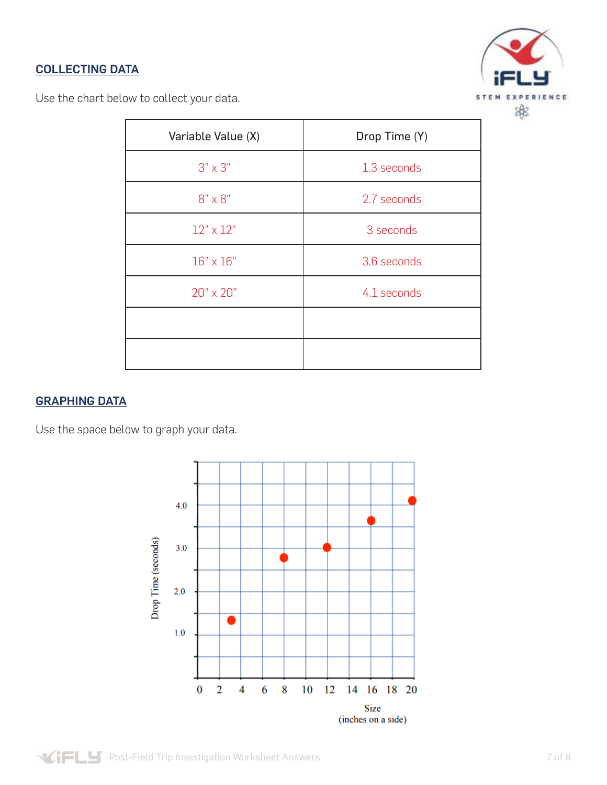# COLLECTING DATA



Use the chart below to collect your data.

| Variable Value (X) | Drop Time (Y) |
|--------------------|---------------|
| $3" \times 3"$     | 1.3 seconds   |
| $8" \times 8"$     | 2.7 seconds   |
| $12" \times 12"$   | 3 seconds     |
| $16" \times 16"$   | 3.6 seconds   |
| 20" x 20"          | 4.1 seconds   |
|                    |               |
|                    |               |

#### GRAPHING DATA

Use the space below to graph your data.